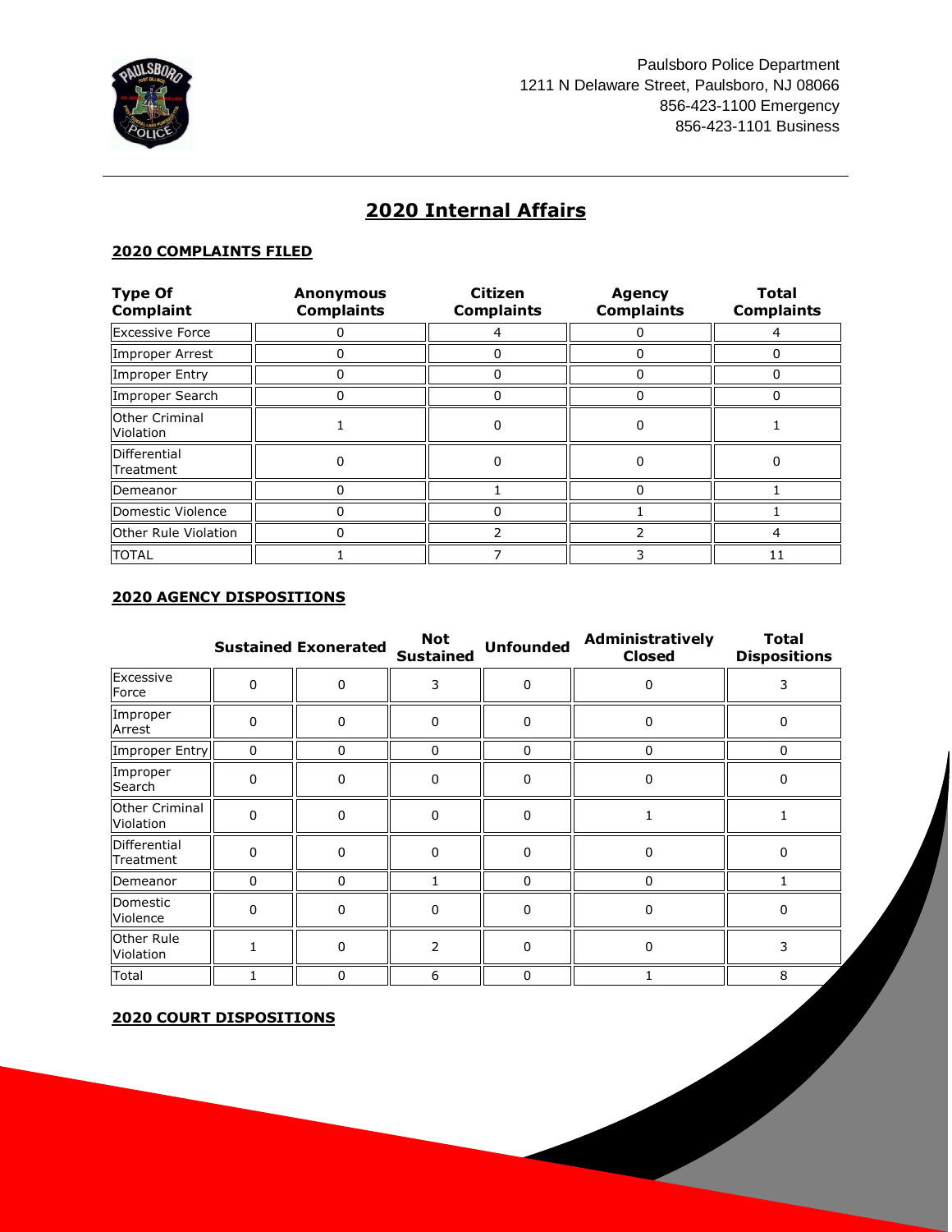

Paulsboro Police Department 1211 N Delaware Street, Paulsboro, NJ 08066 856-423-1100 Emergency 856-423-1101 Business

## **2020 Internal Affairs**

## **2020 COMPLAINTS FILED**

| <b>Type Of</b><br><b>Complaint</b> | <b>Anonymous</b><br><b>Complaints</b> | <b>Citizen</b><br><b>Complaints</b> | <b>Agency</b><br><b>Complaints</b> | <b>Total</b><br><b>Complaints</b> |
|------------------------------------|---------------------------------------|-------------------------------------|------------------------------------|-----------------------------------|
| <b>Excessive Force</b>             |                                       |                                     |                                    |                                   |
| <b>Improper Arrest</b>             |                                       |                                     |                                    |                                   |
| Improper Entry                     |                                       | 0                                   | 0                                  |                                   |
| Improper Search                    |                                       |                                     |                                    |                                   |
| <b>Other Criminal</b><br>Violation |                                       | ი                                   |                                    |                                   |
| Differential<br>Treatment          |                                       |                                     | O                                  |                                   |
| Demeanor                           |                                       |                                     |                                    |                                   |
| Domestic Violence                  |                                       |                                     |                                    |                                   |
| Other Rule Violation               |                                       |                                     |                                    |                                   |
| <b>TOTAL</b>                       |                                       |                                     |                                    | 11                                |

## **2020 AGENCY DISPOSITIONS**

|                                    |             | <b>Sustained Exonerated</b> | <b>Not</b><br><b>Sustained</b> | <b>Unfounded</b> | Administratively<br><b>Closed</b> | <b>Total</b><br><b>Dispositions</b> |
|------------------------------------|-------------|-----------------------------|--------------------------------|------------------|-----------------------------------|-------------------------------------|
| Excessive<br>Force                 | $\mathbf 0$ | 0                           | 3                              | $\mathbf 0$      | 0                                 | 3                                   |
| Improper<br>Arrest                 | 0           | 0                           | $\Omega$                       | 0                | 0                                 | 0                                   |
| Improper Entry                     | 0           | 0                           | 0                              | 0                | 0                                 | 0                                   |
| Improper<br>Search                 | 0           | 0                           | 0                              | 0                | 0                                 | 0                                   |
| <b>Other Criminal</b><br>Violation | $\mathbf 0$ | 0                           | $\Omega$                       | 0                |                                   |                                     |
| Differential<br>Treatment          | 0           | 0                           | $\Omega$                       | 0                | 0                                 | $\Omega$                            |
| Demeanor                           | $\mathbf 0$ | 0                           | 1                              | $\mathbf 0$      | $\Omega$                          |                                     |
| Domestic<br>Violence               | 0           | $\Omega$                    | $\Omega$                       | 0                | 0                                 | $\Omega$                            |
| <b>Other Rule</b><br>Violation     |             | 0                           | $\overline{2}$                 | $\mathbf 0$      | 0                                 | 3                                   |
| Total                              |             | 0                           | 6                              | 0                |                                   | 8                                   |

**2020 COURT DISPOSITIONS**